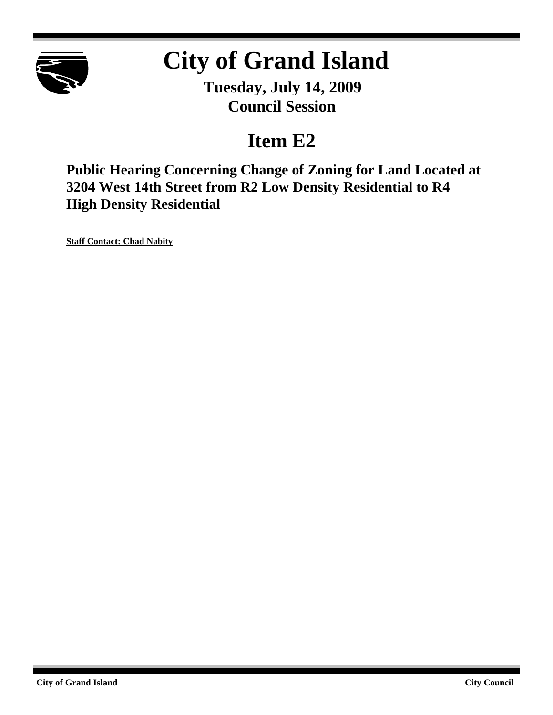

# **City of Grand Island**

**Tuesday, July 14, 2009 Council Session**

## **Item E2**

**Public Hearing Concerning Change of Zoning for Land Located at 3204 West 14th Street from R2 Low Density Residential to R4 High Density Residential**

**Staff Contact: Chad Nabity**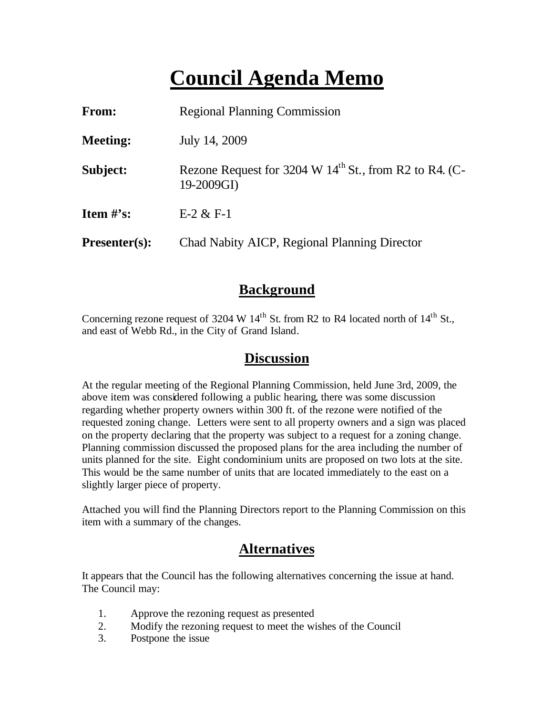## **Council Agenda Memo**

| From:           | <b>Regional Planning Commission</b>                                    |  |
|-----------------|------------------------------------------------------------------------|--|
| <b>Meeting:</b> | July 14, 2009                                                          |  |
| Subject:        | Rezone Request for 3204 W $14th$ St., from R2 to R4. (C-<br>19-2009GI) |  |
| Item $#$ 's:    | $E-2 & E-1$                                                            |  |
| $Presenter(s):$ | Chad Nabity AICP, Regional Planning Director                           |  |

## **Background**

Concerning rezone request of 3204 W  $14<sup>th</sup>$  St. from R2 to R4 located north of  $14<sup>th</sup>$  St., and east of Webb Rd., in the City of Grand Island.

### **Discussion**

At the regular meeting of the Regional Planning Commission, held June 3rd, 2009, the above item was considered following a public hearing, there was some discussion regarding whether property owners within 300 ft. of the rezone were notified of the requested zoning change. Letters were sent to all property owners and a sign was placed on the property declaring that the property was subject to a request for a zoning change. Planning commission discussed the proposed plans for the area including the number of units planned for the site. Eight condominium units are proposed on two lots at the site. This would be the same number of units that are located immediately to the east on a slightly larger piece of property.

Attached you will find the Planning Directors report to the Planning Commission on this item with a summary of the changes.

## **Alternatives**

It appears that the Council has the following alternatives concerning the issue at hand. The Council may:

- 1. Approve the rezoning request as presented
- 2. Modify the rezoning request to meet the wishes of the Council
- 3. Postpone the issue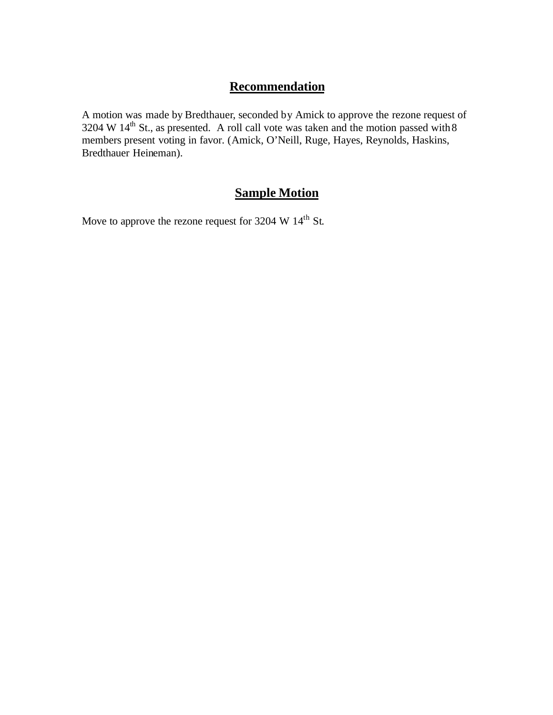## **Recommendation**

A motion was made by Bredthauer, seconded by Amick to approve the rezone request of 3204 W  $14<sup>th</sup>$  St., as presented. A roll call vote was taken and the motion passed with 8 members present voting in favor. (Amick, O'Neill, Ruge, Hayes, Reynolds, Haskins, Bredthauer Heineman).

## **Sample Motion**

Move to approve the rezone request for 3204 W 14<sup>th</sup> St.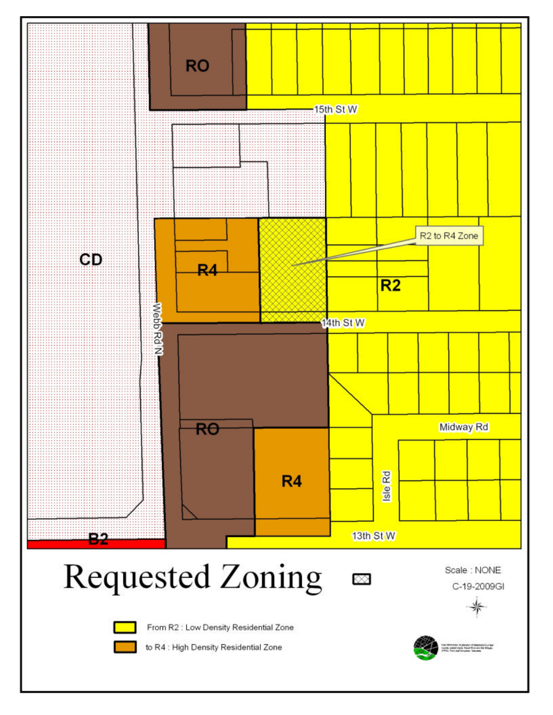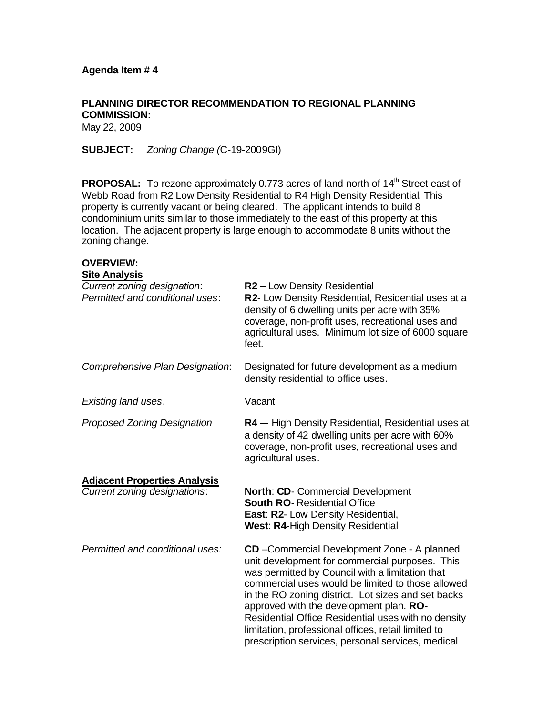## **PLANNING DIRECTOR RECOMMENDATION TO REGIONAL PLANNING COMMISSION:**

May 22, 2009

**SUBJECT:** *Zoning Change (*C-19-2009GI)

**PROPOSAL:** To rezone approximately 0.773 acres of land north of 14<sup>th</sup> Street east of Webb Road from R2 Low Density Residential to R4 High Density Residential. This property is currently vacant or being cleared. The applicant intends to build 8 condominium units similar to those immediately to the east of this property at this location. The adjacent property is large enough to accommodate 8 units without the zoning change.

#### **OVERVIEW: Site Analysis**

| UILU AHUHYJIJ<br>Current zoning designation:<br>Permitted and conditional uses: | R <sub>2</sub> – Low Density Residential<br>R2- Low Density Residential, Residential uses at a<br>density of 6 dwelling units per acre with 35%<br>coverage, non-profit uses, recreational uses and<br>agricultural uses. Minimum lot size of 6000 square<br>feet.                                                                                                                                                                                                         |
|---------------------------------------------------------------------------------|----------------------------------------------------------------------------------------------------------------------------------------------------------------------------------------------------------------------------------------------------------------------------------------------------------------------------------------------------------------------------------------------------------------------------------------------------------------------------|
| Comprehensive Plan Designation:                                                 | Designated for future development as a medium<br>density residential to office uses.                                                                                                                                                                                                                                                                                                                                                                                       |
| Existing land uses.                                                             | Vacant                                                                                                                                                                                                                                                                                                                                                                                                                                                                     |
| <b>Proposed Zoning Designation</b>                                              | <b>R4</b> - High Density Residential, Residential uses at<br>a density of 42 dwelling units per acre with 60%<br>coverage, non-profit uses, recreational uses and<br>agricultural uses.                                                                                                                                                                                                                                                                                    |
| <b>Adjacent Properties Analysis</b><br>Current zoning designations:             | <b>North: CD-</b> Commercial Development<br><b>South RO- Residential Office</b><br><b>East: R2-Low Density Residential,</b><br><b>West: R4-High Density Residential</b>                                                                                                                                                                                                                                                                                                    |
| Permitted and conditional uses:                                                 | CD - Commercial Development Zone - A planned<br>unit development for commercial purposes. This<br>was permitted by Council with a limitation that<br>commercial uses would be limited to those allowed<br>in the RO zoning district. Lot sizes and set backs<br>approved with the development plan. RO-<br>Residential Office Residential uses with no density<br>limitation, professional offices, retail limited to<br>prescription services, personal services, medical |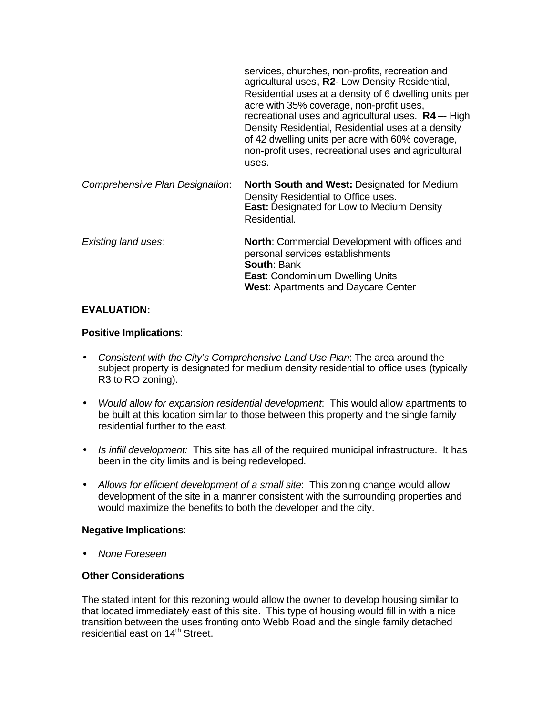|                                 | services, churches, non-profits, recreation and<br>agricultural uses, R2- Low Density Residential,<br>Residential uses at a density of 6 dwelling units per<br>acre with 35% coverage, non-profit uses,<br>recreational uses and agricultural uses. $R4 - High$<br>Density Residential, Residential uses at a density<br>of 42 dwelling units per acre with 60% coverage,<br>non-profit uses, recreational uses and agricultural<br>uses. |
|---------------------------------|-------------------------------------------------------------------------------------------------------------------------------------------------------------------------------------------------------------------------------------------------------------------------------------------------------------------------------------------------------------------------------------------------------------------------------------------|
| Comprehensive Plan Designation: | North South and West: Designated for Medium<br>Density Residential to Office uses.<br><b>East: Designated for Low to Medium Density</b><br>Residential.                                                                                                                                                                                                                                                                                   |
| <b>Existing land uses:</b>      | <b>North:</b> Commercial Development with offices and<br>personal services establishments<br><b>South: Bank</b><br><b>East: Condominium Dwelling Units</b><br><b>West: Apartments and Daycare Center</b>                                                                                                                                                                                                                                  |

#### **EVALUATION:**

#### **Positive Implications**:

- *Consistent with the City's Comprehensive Land Use Plan*: The area around the subject property is designated for medium density residential to office uses (typically R3 to RO zoning).
- *Would allow for expansion residential development*: This would allow apartments to be built at this location similar to those between this property and the single family residential further to the east.
- *Is infill development:* This site has all of the required municipal infrastructure. It has been in the city limits and is being redeveloped.
- *Allows for efficient development of a small site*: This zoning change would allow development of the site in a manner consistent with the surrounding properties and would maximize the benefits to both the developer and the city.

#### **Negative Implications**:

• *None Foreseen*

#### **Other Considerations**

The stated intent for this rezoning would allow the owner to develop housing similar to that located immediately east of this site. This type of housing would fill in with a nice transition between the uses fronting onto Webb Road and the single family detached residential east on 14<sup>th</sup> Street.